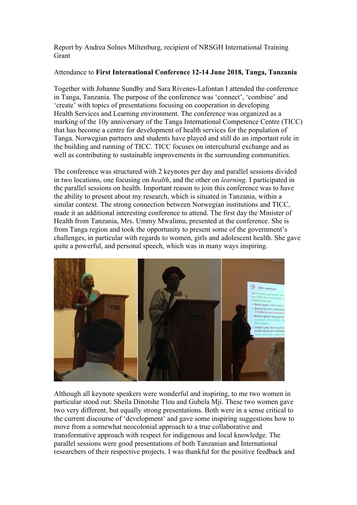Report by Andrea Solnes Miltenburg, recipient of NRSGH International Training **Grant** 

## Attendance to **First International Conference 12-14 June 2018, Tanga, Tanzania**

Together with Johanne Sundby and Sara Rivenes-Lafontan I attended the conference in Tanga, Tanzania. The purpose of the conference was 'connect', 'combine' and 'create' with topics of presentations focusing on cooperation in developing Health Services and Learning environment. The conference was organized as a marking of the 10y anniversary of the Tanga International Competence Centre (TICC) that has become a centre for development of health services for the population of Tanga. Norwegian partners and students have played and still do an important role in the building and running of TICC. TICC focuses on intercultural exchange and as well as contributing to sustainable improvements in the surrounding communities.

The conference was structured with 2 keynotes per day and parallel sessions divided in two locations, one focusing on *health*, and the other on *learning*. I participated in the parallel sessions on health. Important reason to join this conference was to have the ability to present about my research, which is situated in Tanzania, within a similar context. The strong connection between Norwegian institutions and TICC, made it an additional interesting conference to attend. The first day the Minister of Health from Tanzania, Mrs. Ummy Mwalimu, presented at the conference. She is from Tanga region and took the opportunity to present some of the government's challenges, in particular with regards to women, girls and adolescent health. She gave quite a powerful, and personal speech, which was in many ways inspiring.



Although all keynote speakers were wonderful and inspiring, to me two women in particular stood out: Sheila Dinotshe Tlou and Gubela Mji. These two women gave two very different, but equally strong presentations. Both were in a sense critical to the current discourse of 'development' and gave some inspiring suggestions how to move from a somewhat neocolonial approach to a true collaborative and transformative approach with respect for indigenous and local knowledge. The parallel sessions were good presentations of both Tanzanian and International researchers of their respective projects. I was thankful for the positive feedback and